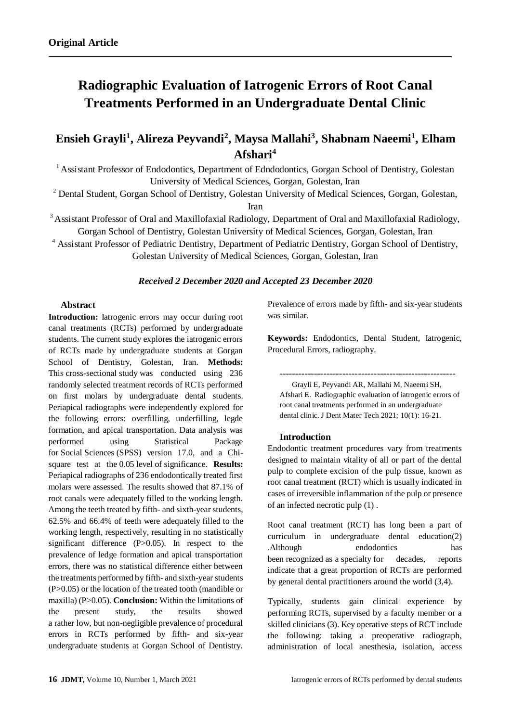# **Radiographic Evaluation of Iatrogenic Errors of Root Canal Treatments Performed in an Undergraduate Dental Clinic**

**Ensieh Grayli<sup>1</sup> , Alireza Peyvandi<sup>2</sup> , Maysa Mallahi<sup>3</sup> , Shabnam Naeemi<sup>1</sup> , Elham Afshari<sup>4</sup>**

<sup>1</sup> Assistant Professor of Endodontics, Department of Edndodontics, Gorgan School of Dentistry, Golestan University of Medical Sciences, Gorgan, Golestan, Iran

<sup>2</sup> Dental Student, Gorgan School of Dentistry, Golestan University of Medical Sciences, Gorgan, Golestan,

Iran

<sup>3</sup> Assistant Professor of Oral and Maxillofaxial Radiology, Department of Oral and Maxillofaxial Radiology, Gorgan School of Dentistry, Golestan University of Medical Sciences, Gorgan, Golestan, Iran

<sup>4</sup> Assistant Professor of Pediatric Dentistry, Department of Pediatric Dentistry, Gorgan School of Dentistry, Golestan University of Medical Sciences, Gorgan, Golestan, Iran

## *Received 2 December 2020 and Accepted 23 December 2020*

#### **Abstract**

**Introduction:** Iatrogenic errors may occur during root canal treatments (RCTs) performed by undergraduate students. The current study explores the iatrogenic errors of RCTs made by undergraduate students at Gorgan School of Dentistry, Golestan, Iran. **Methods:**  This cross-sectional study was conducted using 236 randomly selected treatment records of RCTs performed on first molars by undergraduate dental students. Periapical radiographs were independently explored for the following errors: overfilling, underfilling, legde formation, and apical transportation. Data analysis was performed using Statistical Package for Social Sciences (SPSS) version 17.0, and a Chisquare test at the 0.05 level of significance. **Results:** Periapical radiographs of 236 endodontically treated first molars were assessed. The results showed that 87.1% of root canals were adequately filled to the working length. Among the teeth treated by fifth- and sixth-year students, 62.5% and 66.4% of teeth were adequately filled to the working length, respectively, resulting in no statistically significant difference (P>0.05). In respect to the prevalence of ledge formation and apical transportation errors, there was no statistical difference either between the treatments performed by fifth- and sixth-year students (P>0.05) or the location of the treated tooth (mandible or maxilla) (P>0.05). **Conclusion:** Within the limitations of the present study, the results showed a rather low, but non-negligible prevalence of procedural errors in RCTs performed by fifth- and six-year undergraduate students at Gorgan School of Dentistry.

Prevalence of errors made by fifth- and six-year students was similar.

**Keywords:** Endodontics, Dental Student, Iatrogenic, Procedural Errors, radiography.

--------------------------------------------------------

Grayli E, Peyvandi AR, Mallahi M, Naeemi SH, Afshari E. Radiographic evaluation of iatrogenic errors of root canal treatments performed in an undergraduate dental clinic. J Dent Mater Tech 2021; 10(1): 16-21.

#### **Introduction**

Endodontic treatment procedures vary from treatments designed to maintain vitality of all or part of the dental pulp to complete excision of the pulp tissue, known as root canal treatment (RCT) which is usually indicated in cases of irreversible inflammation of the pulp or presence of an infected necrotic pulp (1) .

Root canal treatment (RCT) has long been a part of curriculum in undergraduate dental education(2) .Although endodontics has been recognized as a specialty for decades, reports indicate that a great proportion of RCTs are performed by general dental practitioners around the world (3,4).

Typically, students gain clinical experience by performing RCTs, supervised by a faculty member or a skilled clinicians (3). Key operative steps of RCT include the following: taking a preoperative radiograph, administration of local anesthesia, isolation, access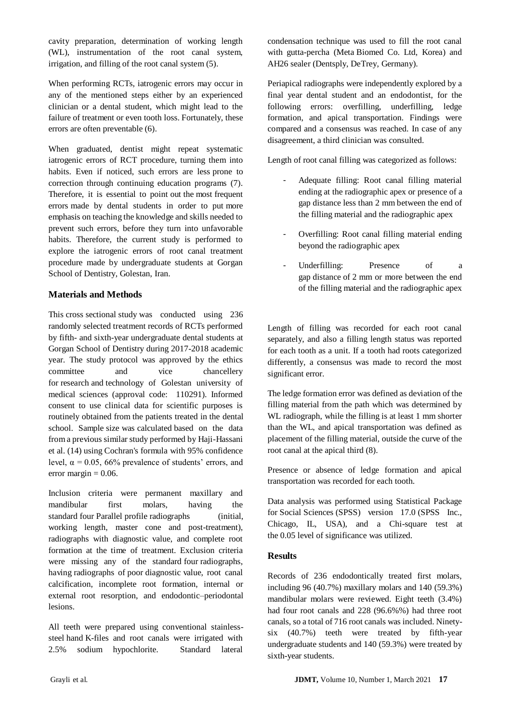cavity preparation, determination of working length (WL), instrumentation of the root canal system, irrigation, and filling of the root canal system (5).

When performing RCTs, iatrogenic errors may occur in any of the mentioned steps either by an experienced clinician or a dental student, which might lead to the failure of treatment or even tooth loss. Fortunately, these errors are often preventable (6).

When graduated, dentist might repeat systematic iatrogenic errors of RCT procedure, turning them into habits. Even if noticed, such errors are less prone to correction through continuing education programs (7). Therefore, it is essential to point out the most frequent errors made by dental students in order to put more emphasis on teaching the knowledge and skills needed to prevent such errors, before they turn into unfavorable habits. Therefore, the current study is performed to explore the iatrogenic errors of root canal treatment procedure made by undergraduate students at Gorgan School of Dentistry, Golestan, Iran.

## **Materials and Methods**

This cross sectional study was conducted using 236 randomly selected treatment records of RCTs performed by fifth- and sixth-year undergraduate dental students at Gorgan School of Dentistry during 2017-2018 academic year. The study protocol was approved by the ethics committee and vice chancellery for research and technology of Golestan university of medical sciences (approval code: 110291). Informed consent to use clinical data for scientific purposes is routinely obtained from the patients treated in the dental school. Sample size was calculated based on the data from a previous similar study performed by Haji-Hassani et al. (14) using Cochran's formula with 95% confidence level,  $\alpha$  = 0.05, 66% prevalence of students' errors, and error margin  $= 0.06$ .

Inclusion criteria were permanent maxillary and mandibular first molars, having the standard four Parallel profile radiographs (initial, working length, master cone and post-treatment), radiographs with diagnostic value, and complete root formation at the time of treatment. Exclusion criteria were missing any of the standard four radiographs, having radiographs of poor diagnostic value, root canal calcification, incomplete root formation, internal or external root resorption, and endodontic–periodontal lesions.

All teeth were prepared using conventional stainlesssteel hand K-files and root canals were irrigated with 2.5% sodium hypochlorite. Standard lateral

condensation technique was used to fill the root canal with gutta-percha (Meta Biomed Co. Ltd, Korea) and AH26 sealer (Dentsply, DeTrey, Germany).

Periapical radiographs were independently explored by a final year dental student and an endodontist, for the following errors: overfilling, underfilling, ledge formation, and apical transportation. Findings were compared and a consensus was reached. In case of any disagreement, a third clinician was consulted.

Length of root canal filling was categorized as follows:

- Adequate filling: Root canal filling material ending at the radiographic apex or presence of a gap distance less than 2 mm between the end of the filling material and the radiographic apex
- Overfilling: Root canal filling material ending beyond the radiographic apex
- Underfilling: Presence of a gap distance of 2 mm or more between the end of the filling material and the radiographic apex

Length of filling was recorded for each root canal separately, and also a filling length status was reported for each tooth as a unit. If a tooth had roots categorized differently, a consensus was made to record the most significant error.

The ledge formation error was defined as deviation of the filling material from the path which was determined by WL radiograph, while the filling is at least 1 mm shorter than the WL, and apical transportation was defined as placement of the filling material, outside the curve of the root canal at the apical third (8).

Presence or absence of ledge formation and apical transportation was recorded for each tooth.

Data analysis was performed using Statistical Package for Social Sciences (SPSS) version 17.0 (SPSS Inc., Chicago, IL, USA), and a Chi-square test at the 0.05 level of significance was utilized.

## **Results**

Records of 236 endodontically treated first molars, including 96 (40.7%) maxillary molars and 140 (59.3%) mandibular molars were reviewed. Eight teeth (3.4%) had four root canals and 228 (96.6%%) had three root canals, so a total of 716 root canals was included. Ninetysix (40.7%) teeth were treated by fifth-year undergraduate students and 140 (59.3%) were treated by sixth-year students.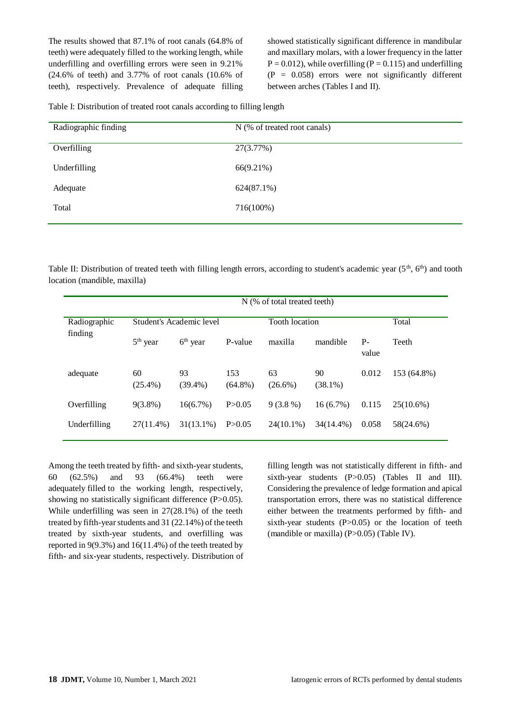The results showed that 87.1% of root canals (64.8% of teeth) were adequately filled to the working length, while underfilling and overfilling errors were seen in 9.21% (24.6% of teeth) and 3.77% of root canals (10.6% of teeth), respectively. Prevalence of adequate filling showed statistically significant difference in mandibular and maxillary molars, with a lower frequency in the latter  $P = 0.012$ , while overfilling ( $P = 0.115$ ) and underfilling  $(P = 0.058)$  errors were not significantly different between arches (Tables I and II).

Table I: Distribution of treated root canals according to filling length

| N (% of treated root canals) |
|------------------------------|
| 27(3.77%)                    |
| 66(9.21%)                    |
| $624(87.1\%)$                |
| 716(100%)                    |
|                              |

Table II: Distribution of treated teeth with filling length errors, according to student's academic year ( $5<sup>th</sup>$ ,  $6<sup>th</sup>$ ) and tooth location (mandible, maxilla)

|                         | N (% of total treated teeth) |                          |                       |                  |                  |               |              |
|-------------------------|------------------------------|--------------------------|-----------------------|------------------|------------------|---------------|--------------|
| Radiographic<br>finding |                              | Student's Academic level | <b>Tooth</b> location |                  |                  | Total         |              |
|                         | $5th$ year                   | $6th$ year               | P-value               | maxilla          | mandible         | $P-$<br>value | Teeth        |
| adequate                | 60<br>$(25.4\%)$             | 93<br>$(39.4\%)$         | 153<br>$(64.8\%)$     | 63<br>$(26.6\%)$ | 90<br>$(38.1\%)$ | 0.012         | 153 (64.8%)  |
| Overfilling             | $9(3.8\%)$                   | 16(6.7%)                 | P > 0.05              | $9(3.8\%)$       | $16(6.7\%)$      | 0.115         | $25(10.6\%)$ |
| Underfilling            | 27(11.4%)                    | $31(13.1\%)$             | P > 0.05              | 24(10.1%)        | 34(14.4%)        | 0.058         | 58(24.6%)    |

Among the teeth treated by fifth- and sixth-year students, 60 (62.5%) and 93 (66.4%) teeth were adequately filled to the working length, respectively, showing no statistically significant difference (P>0.05). While underfilling was seen in 27(28.1%) of the teeth treated by fifth-year students and 31 (22.14%) of the teeth treated by sixth-year students, and overfilling was reported in 9(9.3%) and 16(11.4%) of the teeth treated by fifth- and six-year students, respectively. Distribution of filling length was not statistically different in fifth- and sixth-year students (P>0.05) (Tables II and III). Considering the prevalence of ledge formation and apical transportation errors, there was no statistical difference either between the treatments performed by fifth- and sixth-year students  $(P>0.05)$  or the location of teeth (mandible or maxilla) (P>0.05) (Table IV).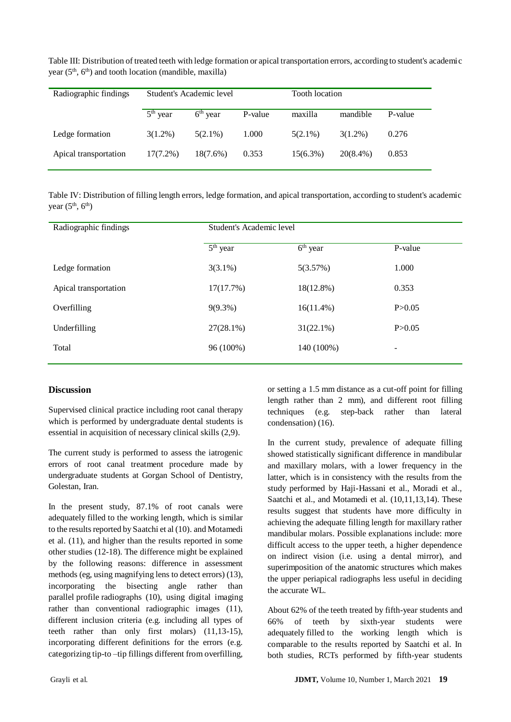| Radiographic findings | Student's Academic level |             |         | <b>Tooth</b> location |             |         |
|-----------------------|--------------------------|-------------|---------|-----------------------|-------------|---------|
|                       | $5th$ year               | $6th$ year  | P-value | maxilla               | mandible    | P-value |
| Ledge formation       | $3(1.2\%)$               | $5(2.1\%)$  | 1.000   | $5(2.1\%)$            | $3(1.2\%)$  | 0.276   |
| Apical transportation | $17(7.2\%)$              | $18(7.6\%)$ | 0.353   | $15(6.3\%)$           | $20(8.4\%)$ | 0.853   |

Table III: Distribution of treated teeth with ledge formation or apical transportation errors, according to student's academic year  $(5<sup>th</sup>, 6<sup>th</sup>)$  and tooth location (mandible, maxilla)

Table IV: Distribution of filling length errors, ledge formation, and apical transportation, according to student's academic year  $(5<sup>th</sup>, 6<sup>th</sup>)$ 

| Radiographic findings | Student's Academic level |                                 |                          |  |  |
|-----------------------|--------------------------|---------------------------------|--------------------------|--|--|
|                       | $5th$ year               | $\overline{6}^{\text{th}}$ year | P-value                  |  |  |
| Ledge formation       | $3(3.1\%)$               | 5(3.57%)                        | 1.000                    |  |  |
| Apical transportation | 17(17.7%)                | $18(12.8\%)$                    | 0.353                    |  |  |
| Overfilling           | $9(9.3\%)$               | $16(11.4\%)$                    | P > 0.05                 |  |  |
| Underfilling          | $27(28.1\%)$             | $31(22.1\%)$                    | P > 0.05                 |  |  |
| Total                 | 96 (100%)                | 140 (100%)                      | $\overline{\phantom{0}}$ |  |  |
|                       |                          |                                 |                          |  |  |

# **Discussion**

Supervised clinical practice including root canal therapy which is performed by undergraduate dental students is essential in acquisition of necessary clinical skills (2,9).

The current study is performed to assess the iatrogenic errors of root canal treatment procedure made by undergraduate students at Gorgan School of Dentistry, Golestan, Iran.

In the present study, 87.1% of root canals were adequately filled to the working length, which is similar to the results reported by Saatchi et al (10). and Motamedi et al. (11), and higher than the results reported in some other studies (12-18). The difference might be explained by the following reasons: difference in assessment methods (eg, using magnifying lens to detect errors) (13), incorporating the bisecting angle rather than parallel profile radiographs (10), using digital imaging rather than conventional radiographic images (11), different inclusion criteria (e.g. including all types of teeth rather than only first molars) (11,13-15), incorporating different definitions for the errors (e.g. categorizing tip-to –tip fillings different from overfilling,

or setting a 1.5 mm distance as a cut-off point for filling length rather than 2 mm), and different root filling techniques (e.g. step-back rather than lateral condensation) (16).

In the current study, prevalence of adequate filling showed statistically significant difference in mandibular and maxillary molars, with a lower frequency in the latter, which is in consistency with the results from the study performed by Haji-Hassani et al., Moradi et al., Saatchi et al., and Motamedi et al. (10,11,13,14). These results suggest that students have more difficulty in achieving the adequate filling length for maxillary rather mandibular molars. Possible explanations include: more difficult access to the upper teeth, a higher dependence on indirect vision (i.e. using a dental mirror), and superimposition of the anatomic structures which makes the upper periapical radiographs less useful in deciding the accurate WL.

About 62% of the teeth treated by fifth-year students and 66% of teeth by sixth-year students were adequately filled to the working length which is comparable to the results reported by Saatchi et al. In both studies, RCTs performed by fifth-year students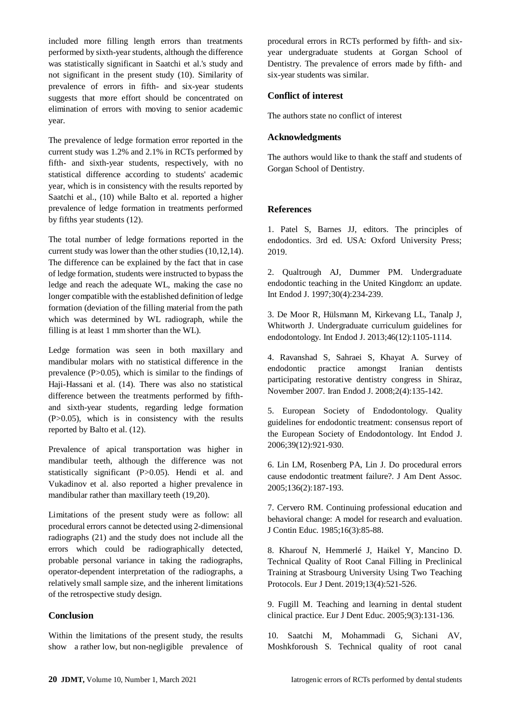included more filling length errors than treatments performed by sixth-year students, although the difference was statistically significant in Saatchi et al.'s study and not significant in the present study (10). Similarity of prevalence of errors in fifth- and six-year students suggests that more effort should be concentrated on elimination of errors with moving to senior academic year.

The prevalence of ledge formation error reported in the current study was 1.2% and 2.1% in RCTs performed by fifth- and sixth-year students, respectively, with no statistical difference according to students' academic year, which is in consistency with the results reported by Saatchi et al., (10) while Balto et al. reported a higher prevalence of ledge formation in treatments performed by fifths year students (12).

The total number of ledge formations reported in the current study was lower than the other studies (10,12,14). The difference can be explained by the fact that in case of ledge formation, students were instructed to bypass the ledge and reach the adequate WL, making the case no longer compatible with the established definition of ledge formation (deviation of the filling material from the path which was determined by WL radiograph, while the filling is at least 1 mm shorter than the WL).

Ledge formation was seen in both maxillary and mandibular molars with no statistical difference in the prevalence  $(P>0.05)$ , which is similar to the findings of Haji-Hassani et al. (14). There was also no statistical difference between the treatments performed by fifthand sixth-year students, regarding ledge formation (P>0.05), which is in consistency with the results reported by Balto et al. (12).

Prevalence of apical transportation was higher in mandibular teeth, although the difference was not statistically significant (P>0.05). Hendi et al. and Vukadinov et al. also reported a higher prevalence in mandibular rather than maxillary teeth (19,20).

Limitations of the present study were as follow: all procedural errors cannot be detected using 2-dimensional radiographs (21) and the study does not include all the errors which could be radiographically detected, probable personal variance in taking the radiographs, operator-dependent interpretation of the radiographs, a relatively small sample size, and the inherent limitations of the retrospective study design.

# **Conclusion**

Within the limitations of the present study, the results show a rather low, but non-negligible prevalence of procedural errors in RCTs performed by fifth- and sixyear undergraduate students at Gorgan School of Dentistry. The prevalence of errors made by fifth- and six-year students was similar.

## **Conflict of interest**

The authors state no conflict of interest

#### **Acknowledgments**

The authors would like to thank the staff and students of Gorgan School of Dentistry.

#### **References**

1. Patel S, Barnes JJ, editors. The principles of endodontics. 3rd ed. USA: Oxford University Press; 2019.

2. Qualtrough AJ, Dummer PM. Undergraduate endodontic teaching in the United Kingdom: an update. Int Endod J. 1997;30(4):234-239.

3. De Moor R, Hülsmann M, Kirkevang LL, Tanalp J, Whitworth J. Undergraduate curriculum guidelines for endodontology. Int Endod J. 2013;46(12):1105-1114.

4. Ravanshad S, Sahraei S, Khayat A. Survey of endodontic practice amongst Iranian dentists participating restorative dentistry congress in Shiraz, November 2007. Iran Endod J. 2008;2(4):135-142.

5. European Society of Endodontology. Quality guidelines for endodontic treatment: consensus report of the European Society of Endodontology. Int Endod J. 2006;39(12):921-930.

6. Lin LM, Rosenberg PA, Lin J. Do procedural errors cause endodontic treatment failure?. J Am Dent Assoc. 2005;136(2):187-193.

7. Cervero RM. Continuing professional education and behavioral change: A model for research and evaluation. J Contin Educ. 1985;16(3):85-88.

8. Kharouf N, Hemmerlé J, Haikel Y, Mancino D. Technical Quality of Root Canal Filling in Preclinical Training at Strasbourg University Using Two Teaching Protocols. Eur J Dent. 2019;13(4):521-526.

9. Fugill M. Teaching and learning in dental student clinical practice. Eur J Dent Educ. 2005;9(3):131-136.

10. Saatchi M, Mohammadi G, Sichani AV, Moshkforoush S. Technical quality of root canal